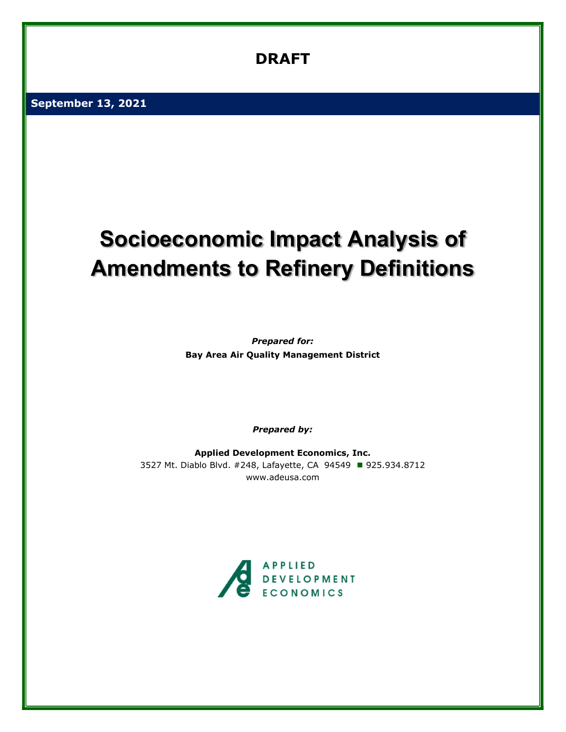# DRAFT

September 13, 2021

# Socioeconomic Impact Analysis of Amendments to Refinery Definitions

Prepared for: Bay Area Air Quality Management District

Prepared by:

Applied Development Economics, Inc. 3527 Mt. Diablo Blvd. #248, Lafayette, CA 94549 925.934.8712 www.adeusa.com

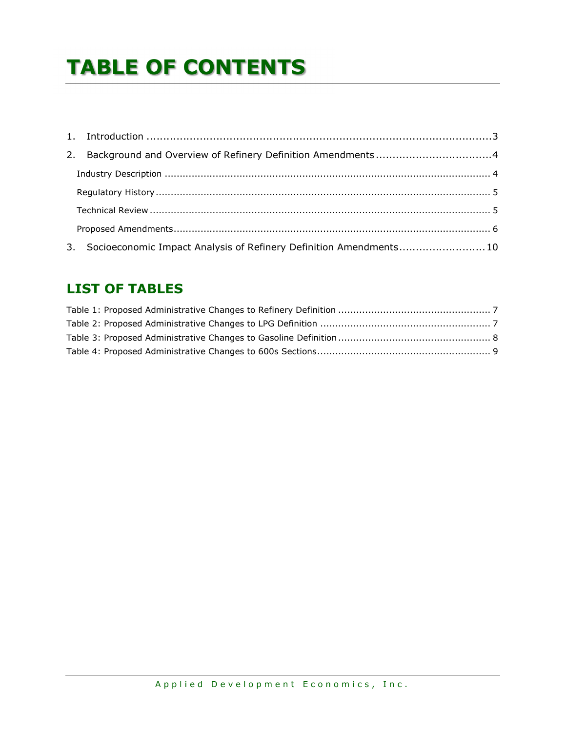# TABLE OF CONTENTS

| 3. Socioeconomic Impact Analysis of Refinery Definition Amendments10 |  |
|----------------------------------------------------------------------|--|

## LIST OF TABLES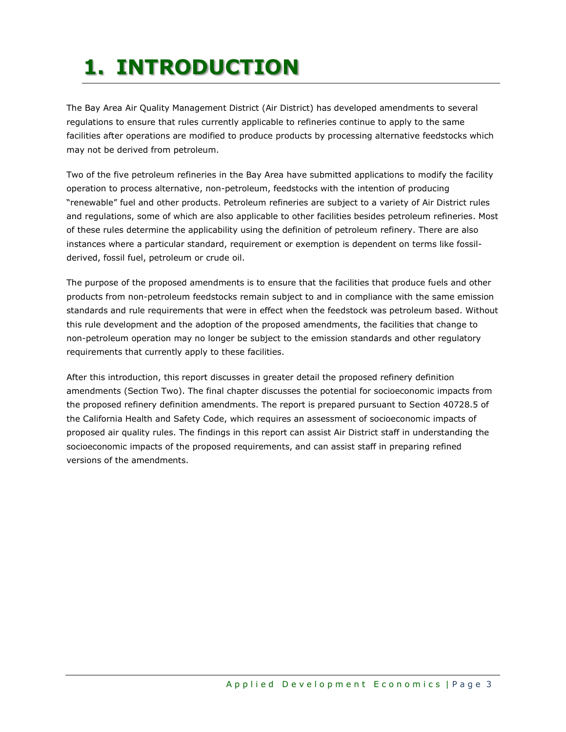# 1. INTRODUCTION

The Bay Area Air Quality Management District (Air District) has developed amendments to several regulations to ensure that rules currently applicable to refineries continue to apply to the same facilities after operations are modified to produce products by processing alternative feedstocks which may not be derived from petroleum.

Two of the five petroleum refineries in the Bay Area have submitted applications to modify the facility operation to process alternative, non-petroleum, feedstocks with the intention of producing "renewable" fuel and other products. Petroleum refineries are subject to a variety of Air District rules and regulations, some of which are also applicable to other facilities besides petroleum refineries. Most of these rules determine the applicability using the definition of petroleum refinery. There are also instances where a particular standard, requirement or exemption is dependent on terms like fossilderived, fossil fuel, petroleum or crude oil.

The purpose of the proposed amendments is to ensure that the facilities that produce fuels and other products from non-petroleum feedstocks remain subject to and in compliance with the same emission standards and rule requirements that were in effect when the feedstock was petroleum based. Without this rule development and the adoption of the proposed amendments, the facilities that change to non-petroleum operation may no longer be subject to the emission standards and other regulatory requirements that currently apply to these facilities.

After this introduction, this report discusses in greater detail the proposed refinery definition amendments (Section Two). The final chapter discusses the potential for socioeconomic impacts from the proposed refinery definition amendments. The report is prepared pursuant to Section 40728.5 of the California Health and Safety Code, which requires an assessment of socioeconomic impacts of proposed air quality rules. The findings in this report can assist Air District staff in understanding the socioeconomic impacts of the proposed requirements, and can assist staff in preparing refined versions of the amendments.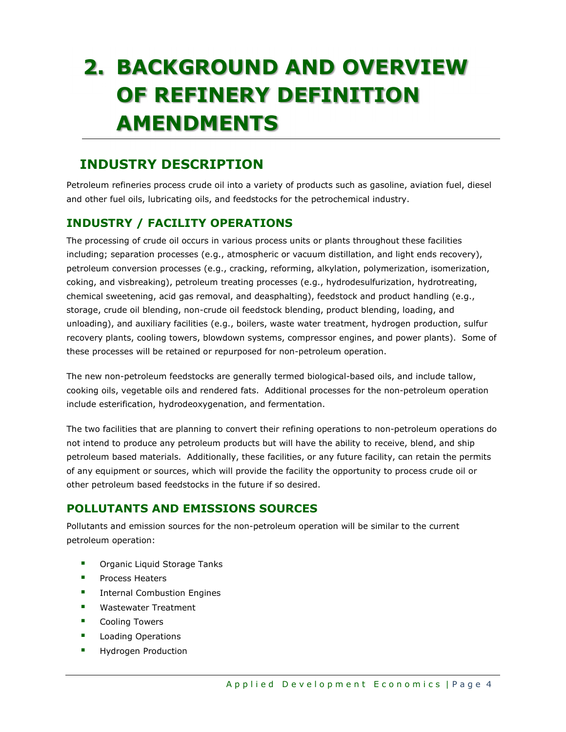# 2. BACKGROUND AND OVERVIEW OF REFINERY DEFINITION AMENDMENTS

# INDUSTRY DESCRIPTION

Petroleum refineries process crude oil into a variety of products such as gasoline, aviation fuel, diesel and other fuel oils, lubricating oils, and feedstocks for the petrochemical industry.

## INDUSTRY / FACILITY OPERATIONS

The processing of crude oil occurs in various process units or plants throughout these facilities including; separation processes (e.g., atmospheric or vacuum distillation, and light ends recovery), petroleum conversion processes (e.g., cracking, reforming, alkylation, polymerization, isomerization, coking, and visbreaking), petroleum treating processes (e.g., hydrodesulfurization, hydrotreating, chemical sweetening, acid gas removal, and deasphalting), feedstock and product handling (e.g., storage, crude oil blending, non-crude oil feedstock blending, product blending, loading, and unloading), and auxiliary facilities (e.g., boilers, waste water treatment, hydrogen production, sulfur recovery plants, cooling towers, blowdown systems, compressor engines, and power plants). Some of these processes will be retained or repurposed for non-petroleum operation.

The new non-petroleum feedstocks are generally termed biological-based oils, and include tallow, cooking oils, vegetable oils and rendered fats. Additional processes for the non-petroleum operation include esterification, hydrodeoxygenation, and fermentation.

The two facilities that are planning to convert their refining operations to non-petroleum operations do not intend to produce any petroleum products but will have the ability to receive, blend, and ship petroleum based materials. Additionally, these facilities, or any future facility, can retain the permits of any equipment or sources, which will provide the facility the opportunity to process crude oil or other petroleum based feedstocks in the future if so desired.

## POLLUTANTS AND EMISSIONS SOURCES

Pollutants and emission sources for the non-petroleum operation will be similar to the current petroleum operation:

- **Organic Liquid Storage Tanks**
- **Process Heaters**
- **Internal Combustion Engines**
- **Wastewater Treatment**
- Cooling Towers
- **Loading Operations**
- Hydrogen Production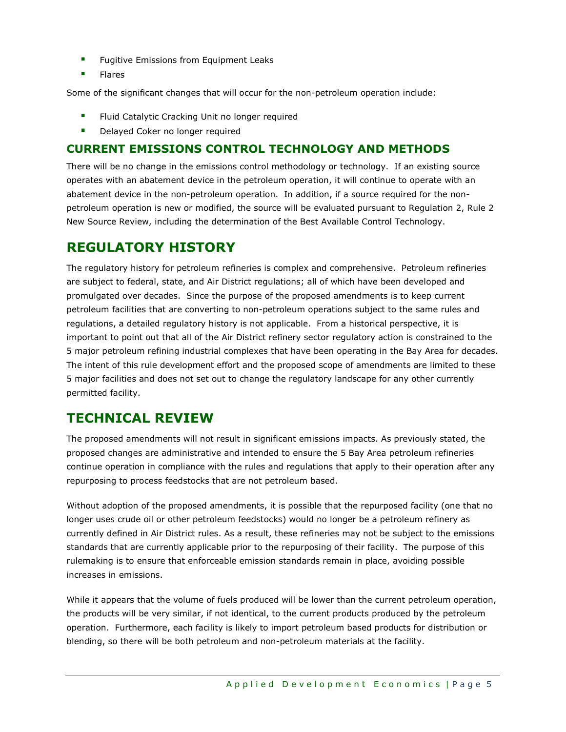- **Fugitive Emissions from Equipment Leaks**
- Flares

Some of the significant changes that will occur for the non-petroleum operation include:

- Fluid Catalytic Cracking Unit no longer required
- Delayed Coker no longer required

### CURRENT EMISSIONS CONTROL TECHNOLOGY AND METHODS

There will be no change in the emissions control methodology or technology. If an existing source operates with an abatement device in the petroleum operation, it will continue to operate with an abatement device in the non-petroleum operation. In addition, if a source required for the nonpetroleum operation is new or modified, the source will be evaluated pursuant to Regulation 2, Rule 2 New Source Review, including the determination of the Best Available Control Technology.

# REGULATORY HISTORY

The regulatory history for petroleum refineries is complex and comprehensive. Petroleum refineries are subject to federal, state, and Air District regulations; all of which have been developed and promulgated over decades. Since the purpose of the proposed amendments is to keep current petroleum facilities that are converting to non-petroleum operations subject to the same rules and regulations, a detailed regulatory history is not applicable. From a historical perspective, it is important to point out that all of the Air District refinery sector regulatory action is constrained to the 5 major petroleum refining industrial complexes that have been operating in the Bay Area for decades. The intent of this rule development effort and the proposed scope of amendments are limited to these 5 major facilities and does not set out to change the regulatory landscape for any other currently permitted facility.

## TECHNICAL REVIEW

The proposed amendments will not result in significant emissions impacts. As previously stated, the proposed changes are administrative and intended to ensure the 5 Bay Area petroleum refineries continue operation in compliance with the rules and regulations that apply to their operation after any repurposing to process feedstocks that are not petroleum based.

Without adoption of the proposed amendments, it is possible that the repurposed facility (one that no longer uses crude oil or other petroleum feedstocks) would no longer be a petroleum refinery as currently defined in Air District rules. As a result, these refineries may not be subject to the emissions standards that are currently applicable prior to the repurposing of their facility. The purpose of this rulemaking is to ensure that enforceable emission standards remain in place, avoiding possible increases in emissions.

While it appears that the volume of fuels produced will be lower than the current petroleum operation, the products will be very similar, if not identical, to the current products produced by the petroleum operation. Furthermore, each facility is likely to import petroleum based products for distribution or blending, so there will be both petroleum and non-petroleum materials at the facility.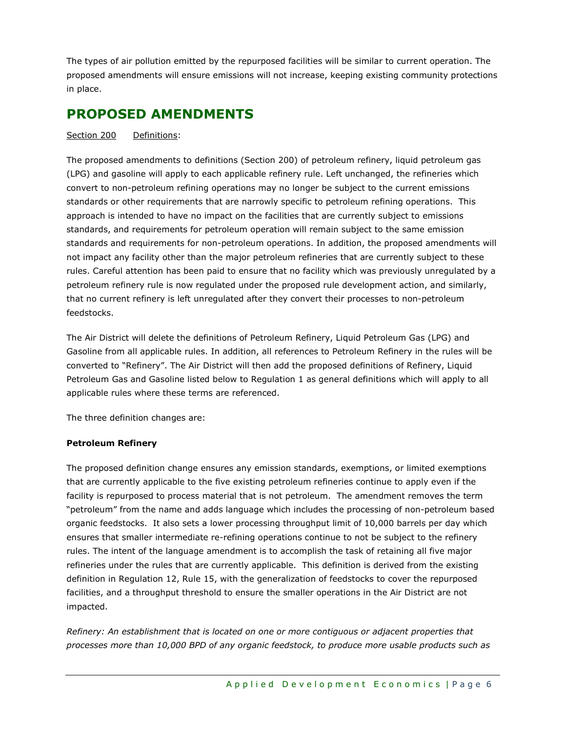The types of air pollution emitted by the repurposed facilities will be similar to current operation. The proposed amendments will ensure emissions will not increase, keeping existing community protections in place.

## PROPOSED AMENDMENTS

Section 200 Definitions:

The proposed amendments to definitions (Section 200) of petroleum refinery, liquid petroleum gas (LPG) and gasoline will apply to each applicable refinery rule. Left unchanged, the refineries which convert to non-petroleum refining operations may no longer be subject to the current emissions standards or other requirements that are narrowly specific to petroleum refining operations. This approach is intended to have no impact on the facilities that are currently subject to emissions standards, and requirements for petroleum operation will remain subject to the same emission standards and requirements for non-petroleum operations. In addition, the proposed amendments will not impact any facility other than the major petroleum refineries that are currently subject to these rules. Careful attention has been paid to ensure that no facility which was previously unregulated by a petroleum refinery rule is now regulated under the proposed rule development action, and similarly, that no current refinery is left unregulated after they convert their processes to non-petroleum feedstocks.

The Air District will delete the definitions of Petroleum Refinery, Liquid Petroleum Gas (LPG) and Gasoline from all applicable rules. In addition, all references to Petroleum Refinery in the rules will be converted to "Refinery". The Air District will then add the proposed definitions of Refinery, Liquid Petroleum Gas and Gasoline listed below to Regulation 1 as general definitions which will apply to all applicable rules where these terms are referenced.

The three definition changes are:

#### Petroleum Refinery

The proposed definition change ensures any emission standards, exemptions, or limited exemptions that are currently applicable to the five existing petroleum refineries continue to apply even if the facility is repurposed to process material that is not petroleum. The amendment removes the term "petroleum" from the name and adds language which includes the processing of non-petroleum based organic feedstocks. It also sets a lower processing throughput limit of 10,000 barrels per day which ensures that smaller intermediate re-refining operations continue to not be subject to the refinery rules. The intent of the language amendment is to accomplish the task of retaining all five major refineries under the rules that are currently applicable. This definition is derived from the existing definition in Regulation 12, Rule 15, with the generalization of feedstocks to cover the repurposed facilities, and a throughput threshold to ensure the smaller operations in the Air District are not impacted.

Refinery: An establishment that is located on one or more contiguous or adjacent properties that processes more than 10,000 BPD of any organic feedstock, to produce more usable products such as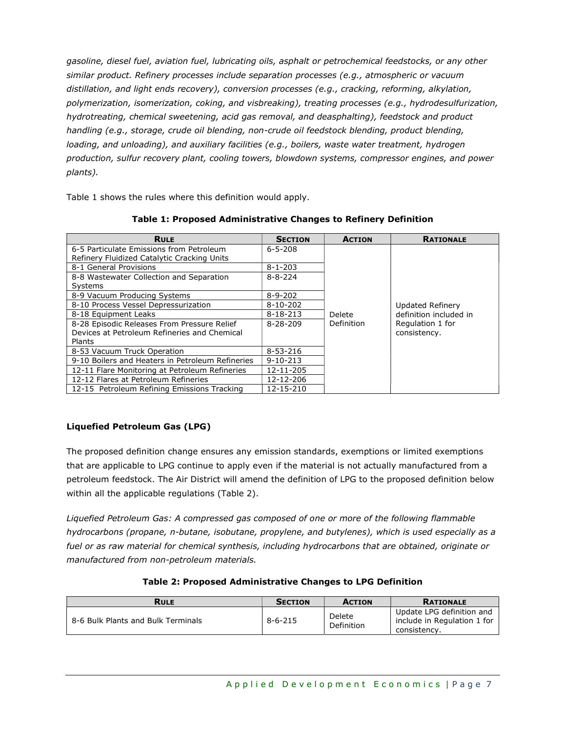gasoline, diesel fuel, aviation fuel, lubricating oils, asphalt or petrochemical feedstocks, or any other similar product. Refinery processes include separation processes (e.g., atmospheric or vacuum distillation, and light ends recovery), conversion processes (e.g., cracking, reforming, alkylation, polymerization, isomerization, coking, and visbreaking), treating processes (e.g., hydrodesulfurization, hydrotreating, chemical sweetening, acid gas removal, and deasphalting), feedstock and product handling (e.g., storage, crude oil blending, non-crude oil feedstock blending, product blending, loading, and unloading), and auxiliary facilities (e.g., boilers, waste water treatment, hydrogen production, sulfur recovery plant, cooling towers, blowdown systems, compressor engines, and power plants).

Table 1 shows the rules where this definition would apply.

| <b>RULE</b>                                      | <b>SECTION</b> | <b>ACTION</b> | <b>RATIONALE</b>       |
|--------------------------------------------------|----------------|---------------|------------------------|
| 6-5 Particulate Emissions from Petroleum         | $6 - 5 - 208$  |               |                        |
| Refinery Fluidized Catalytic Cracking Units      |                |               |                        |
| 8-1 General Provisions                           | $8 - 1 - 203$  |               |                        |
| 8-8 Wastewater Collection and Separation         | $8 - 8 - 224$  |               |                        |
| <b>Systems</b>                                   |                |               |                        |
| 8-9 Vacuum Producing Systems                     | $8 - 9 - 202$  |               |                        |
| 8-10 Process Vessel Depressurization             | $8 - 10 - 202$ |               | Updated Refinery       |
| 8-18 Equipment Leaks                             | $8 - 18 - 213$ | Delete        | definition included in |
| 8-28 Episodic Releases From Pressure Relief      | $8 - 28 - 209$ | Definition    | Regulation 1 for       |
| Devices at Petroleum Refineries and Chemical     |                |               | consistency.           |
| Plants                                           |                |               |                        |
| 8-53 Vacuum Truck Operation                      | 8-53-216       |               |                        |
| 9-10 Boilers and Heaters in Petroleum Refineries | $9 - 10 - 213$ |               |                        |
| 12-11 Flare Monitoring at Petroleum Refineries   | 12-11-205      |               |                        |
| 12-12 Flares at Petroleum Refineries             | 12-12-206      |               |                        |
| 12-15 Petroleum Refining Emissions Tracking      | 12-15-210      |               |                        |

Table 1: Proposed Administrative Changes to Refinery Definition

#### Liquefied Petroleum Gas (LPG)

The proposed definition change ensures any emission standards, exemptions or limited exemptions that are applicable to LPG continue to apply even if the material is not actually manufactured from a petroleum feedstock. The Air District will amend the definition of LPG to the proposed definition below within all the applicable regulations (Table 2).

Liquefied Petroleum Gas: A compressed gas composed of one or more of the following flammable hydrocarbons (propane, n-butane, isobutane, propylene, and butylenes), which is used especially as a fuel or as raw material for chemical synthesis, including hydrocarbons that are obtained, originate or manufactured from non-petroleum materials.

#### Table 2: Proposed Administrative Changes to LPG Definition

| <b>RULE</b>                        | <b>SECTION</b> | <b>ACTION</b>        | <b>RATIONALE</b>                                                         |
|------------------------------------|----------------|----------------------|--------------------------------------------------------------------------|
| 8-6 Bulk Plants and Bulk Terminals | $8 - 6 - 215$  | Delete<br>Definition | Update LPG definition and<br>include in Regulation 1 for<br>consistency. |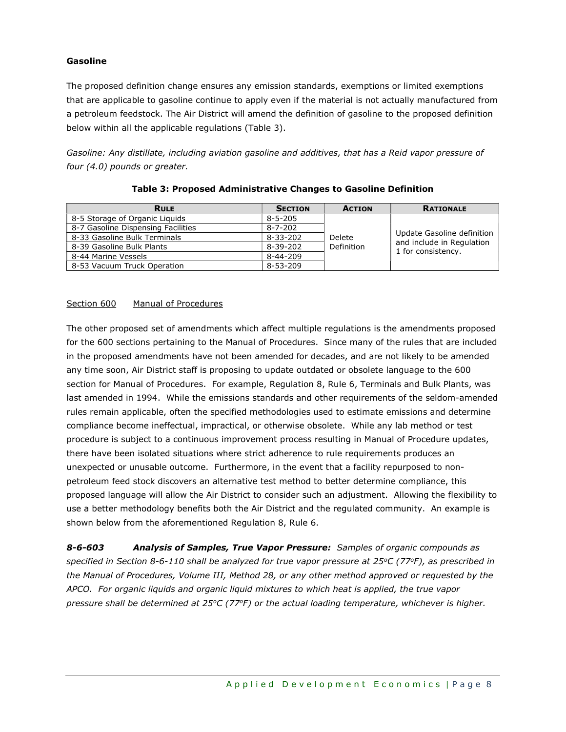#### Gasoline

The proposed definition change ensures any emission standards, exemptions or limited exemptions that are applicable to gasoline continue to apply even if the material is not actually manufactured from a petroleum feedstock. The Air District will amend the definition of gasoline to the proposed definition below within all the applicable regulations (Table 3).

Gasoline: Any distillate, including aviation gasoline and additives, that has a Reid vapor pressure of four (4.0) pounds or greater.

| <b>RULE</b>                        | <b>SECTION</b> | <b>ACTION</b>        | <b>RATIONALE</b>                                                              |
|------------------------------------|----------------|----------------------|-------------------------------------------------------------------------------|
| 8-5 Storage of Organic Liguids     | $8 - 5 - 205$  | Delete<br>Definition | Update Gasoline definition<br>and include in Regulation<br>1 for consistency. |
| 8-7 Gasoline Dispensing Facilities | $8 - 7 - 202$  |                      |                                                                               |
| 8-33 Gasoline Bulk Terminals       | $8 - 33 - 202$ |                      |                                                                               |
| 8-39 Gasoline Bulk Plants          | 8-39-202       |                      |                                                                               |
| 8-44 Marine Vessels                | $8 - 44 - 209$ |                      |                                                                               |
| 8-53 Vacuum Truck Operation        | $8 - 53 - 209$ |                      |                                                                               |

#### Table 3: Proposed Administrative Changes to Gasoline Definition

#### Section 600 Manual of Procedures

The other proposed set of amendments which affect multiple regulations is the amendments proposed for the 600 sections pertaining to the Manual of Procedures. Since many of the rules that are included in the proposed amendments have not been amended for decades, and are not likely to be amended any time soon, Air District staff is proposing to update outdated or obsolete language to the 600 section for Manual of Procedures. For example, Regulation 8, Rule 6, Terminals and Bulk Plants, was last amended in 1994. While the emissions standards and other requirements of the seldom-amended rules remain applicable, often the specified methodologies used to estimate emissions and determine compliance become ineffectual, impractical, or otherwise obsolete. While any lab method or test procedure is subject to a continuous improvement process resulting in Manual of Procedure updates, there have been isolated situations where strict adherence to rule requirements produces an unexpected or unusable outcome. Furthermore, in the event that a facility repurposed to nonpetroleum feed stock discovers an alternative test method to better determine compliance, this proposed language will allow the Air District to consider such an adjustment. Allowing the flexibility to use a better methodology benefits both the Air District and the regulated community. An example is shown below from the aforementioned Regulation 8, Rule 6.

8-6-603 Analysis of Samples, True Vapor Pressure: Samples of organic compounds as specified in Section 8-6-110 shall be analyzed for true vapor pressure at  $25^{\circ}$ C (77 $^{\circ}$ F), as prescribed in the Manual of Procedures, Volume III, Method 28, or any other method approved or requested by the APCO. For organic liquids and organic liquid mixtures to which heat is applied, the true vapor pressure shall be determined at  $25^{\circ}C$  (77 $\circ$ F) or the actual loading temperature, whichever is higher.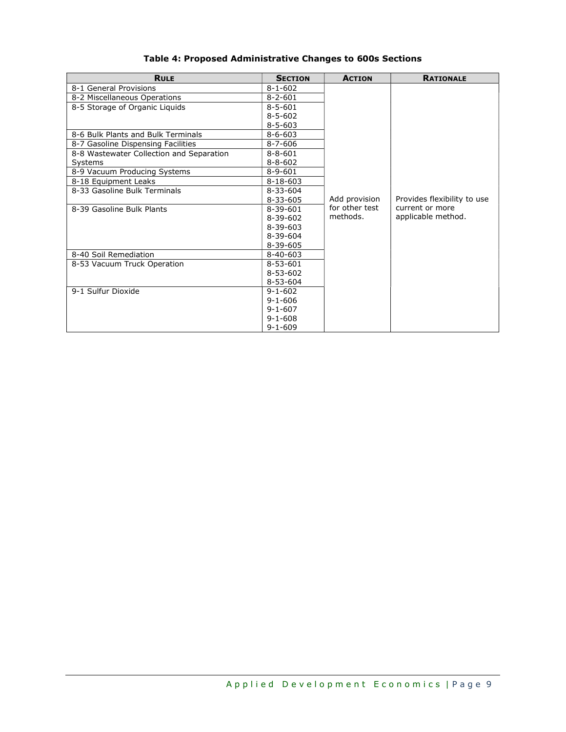| <b>RULE</b>                              | <b>SECTION</b> | <b>ACTION</b>  | <b>RATIONALE</b>            |
|------------------------------------------|----------------|----------------|-----------------------------|
| 8-1 General Provisions                   | $8 - 1 - 602$  |                |                             |
| 8-2 Miscellaneous Operations             | $8 - 2 - 601$  |                |                             |
| 8-5 Storage of Organic Liquids           | $8 - 5 - 601$  |                |                             |
|                                          | $8 - 5 - 602$  |                |                             |
|                                          | $8 - 5 - 603$  |                |                             |
| 8-6 Bulk Plants and Bulk Terminals       | $8 - 6 - 603$  |                |                             |
| 8-7 Gasoline Dispensing Facilities       | $8 - 7 - 606$  |                |                             |
| 8-8 Wastewater Collection and Separation | $8 - 8 - 601$  |                |                             |
| Systems                                  | $8 - 8 - 602$  |                |                             |
| 8-9 Vacuum Producing Systems             | $8 - 9 - 601$  |                |                             |
| 8-18 Equipment Leaks                     | $8 - 18 - 603$ |                |                             |
| 8-33 Gasoline Bulk Terminals             | $8 - 33 - 604$ |                |                             |
|                                          | $8 - 33 - 605$ | Add provision  | Provides flexibility to use |
| 8-39 Gasoline Bulk Plants                | $8 - 39 - 601$ | for other test | current or more             |
|                                          | $8 - 39 - 602$ | methods.       | applicable method.          |
|                                          | $8 - 39 - 603$ |                |                             |
|                                          | $8 - 39 - 604$ |                |                             |
|                                          | 8-39-605       |                |                             |
| 8-40 Soil Remediation                    | $8 - 40 - 603$ |                |                             |
| 8-53 Vacuum Truck Operation              | $8 - 53 - 601$ |                |                             |
|                                          | $8 - 53 - 602$ |                |                             |
|                                          | $8 - 53 - 604$ |                |                             |
| 9-1 Sulfur Dioxide                       | $9 - 1 - 602$  |                |                             |
|                                          | $9 - 1 - 606$  |                |                             |
|                                          | $9 - 1 - 607$  |                |                             |
|                                          | $9 - 1 - 608$  |                |                             |
|                                          | $9 - 1 - 609$  |                |                             |

### Table 4: Proposed Administrative Changes to 600s Sections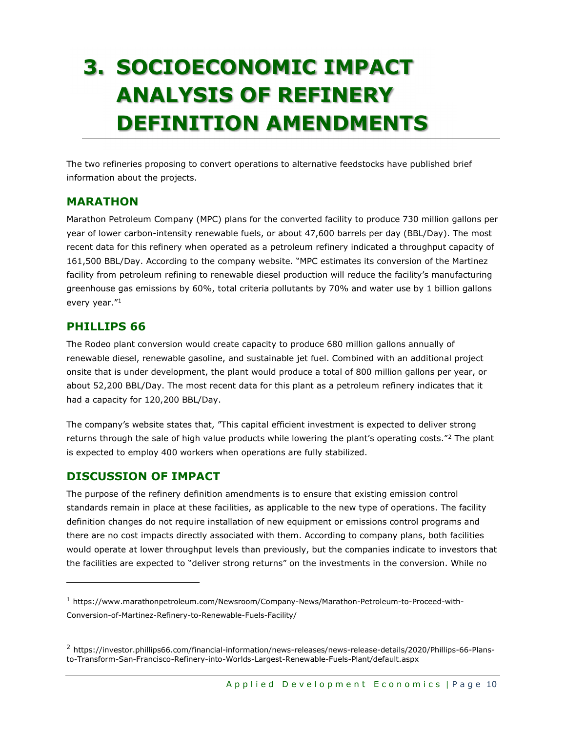# 3. SOCIOECONOMIC IMPACT ANALYSIS OF REFINERY DEFINITION AMENDMENTS

The two refineries proposing to convert operations to alternative feedstocks have published brief information about the projects.

### MARATHON

Marathon Petroleum Company (MPC) plans for the converted facility to produce 730 million gallons per year of lower carbon-intensity renewable fuels, or about 47,600 barrels per day (BBL/Day). The most recent data for this refinery when operated as a petroleum refinery indicated a throughput capacity of 161,500 BBL/Day. According to the company website. "MPC estimates its conversion of the Martinez facility from petroleum refining to renewable diesel production will reduce the facility's manufacturing greenhouse gas emissions by 60%, total criteria pollutants by 70% and water use by 1 billion gallons every year."<sup>1</sup>

### PHILLIPS 66

The Rodeo plant conversion would create capacity to produce 680 million gallons annually of renewable diesel, renewable gasoline, and sustainable jet fuel. Combined with an additional project onsite that is under development, the plant would produce a total of 800 million gallons per year, or about 52,200 BBL/Day. The most recent data for this plant as a petroleum refinery indicates that it had a capacity for 120,200 BBL/Day.

The company's website states that, "This capital efficient investment is expected to deliver strong returns through the sale of high value products while lowering the plant's operating costs."<sup>2</sup> The plant is expected to employ 400 workers when operations are fully stabilized.

### DISCUSSION OF IMPACT

The purpose of the refinery definition amendments is to ensure that existing emission control standards remain in place at these facilities, as applicable to the new type of operations. The facility definition changes do not require installation of new equipment or emissions control programs and there are no cost impacts directly associated with them. According to company plans, both facilities would operate at lower throughput levels than previously, but the companies indicate to investors that the facilities are expected to "deliver strong returns" on the investments in the conversion. While no

<sup>1</sup> https://www.marathonpetroleum.com/Newsroom/Company-News/Marathon-Petroleum-to-Proceed-with-Conversion-of-Martinez-Refinery-to-Renewable-Fuels-Facility/

<sup>2</sup> https://investor.phillips66.com/financial-information/news-releases/news-release-details/2020/Phillips-66-Plansto-Transform-San-Francisco-Refinery-into-Worlds-Largest-Renewable-Fuels-Plant/default.aspx